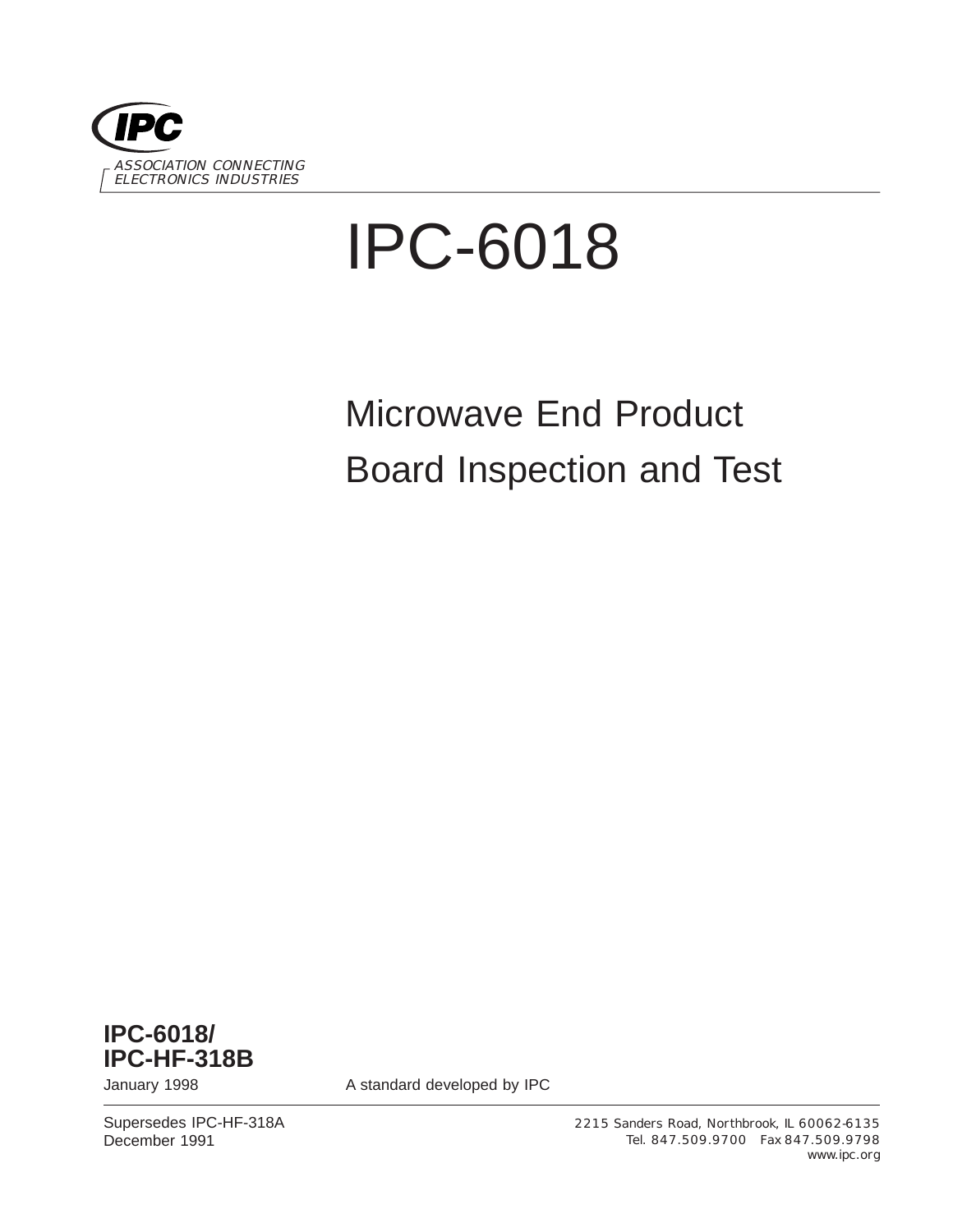

# IPC-6018

# Microwave End Product Board Inspection and Test



January 1998 **A standard developed by IPC** 

Supersedes IPC-HF-318A December 1991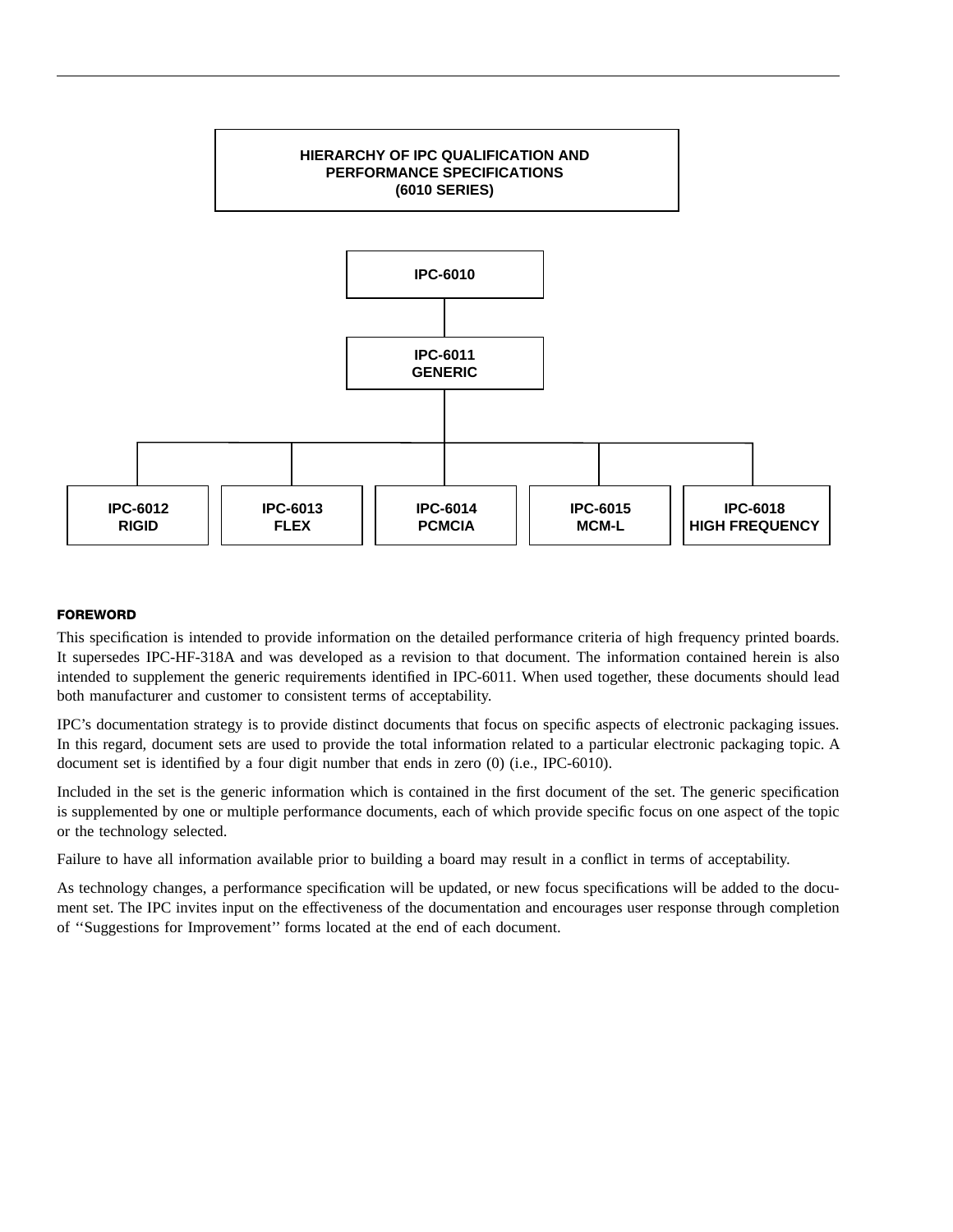

#### **FOREWORD**

This specification is intended to provide information on the detailed performance criteria of high frequency printed boards. It supersedes IPC-HF-318A and was developed as a revision to that document. The information contained herein is also intended to supplement the generic requirements identified in IPC-6011. When used together, these documents should lead both manufacturer and customer to consistent terms of acceptability.

IPC's documentation strategy is to provide distinct documents that focus on specific aspects of electronic packaging issues. In this regard, document sets are used to provide the total information related to a particular electronic packaging topic. A document set is identified by a four digit number that ends in zero (0) (i.e., IPC-6010).

Included in the set is the generic information which is contained in the first document of the set. The generic specification is supplemented by one or multiple performance documents, each of which provide specific focus on one aspect of the topic or the technology selected.

Failure to have all information available prior to building a board may result in a conflict in terms of acceptability.

As technology changes, a performance specification will be updated, or new focus specifications will be added to the document set. The IPC invites input on the effectiveness of the documentation and encourages user response through completion of ''Suggestions for Improvement'' forms located at the end of each document.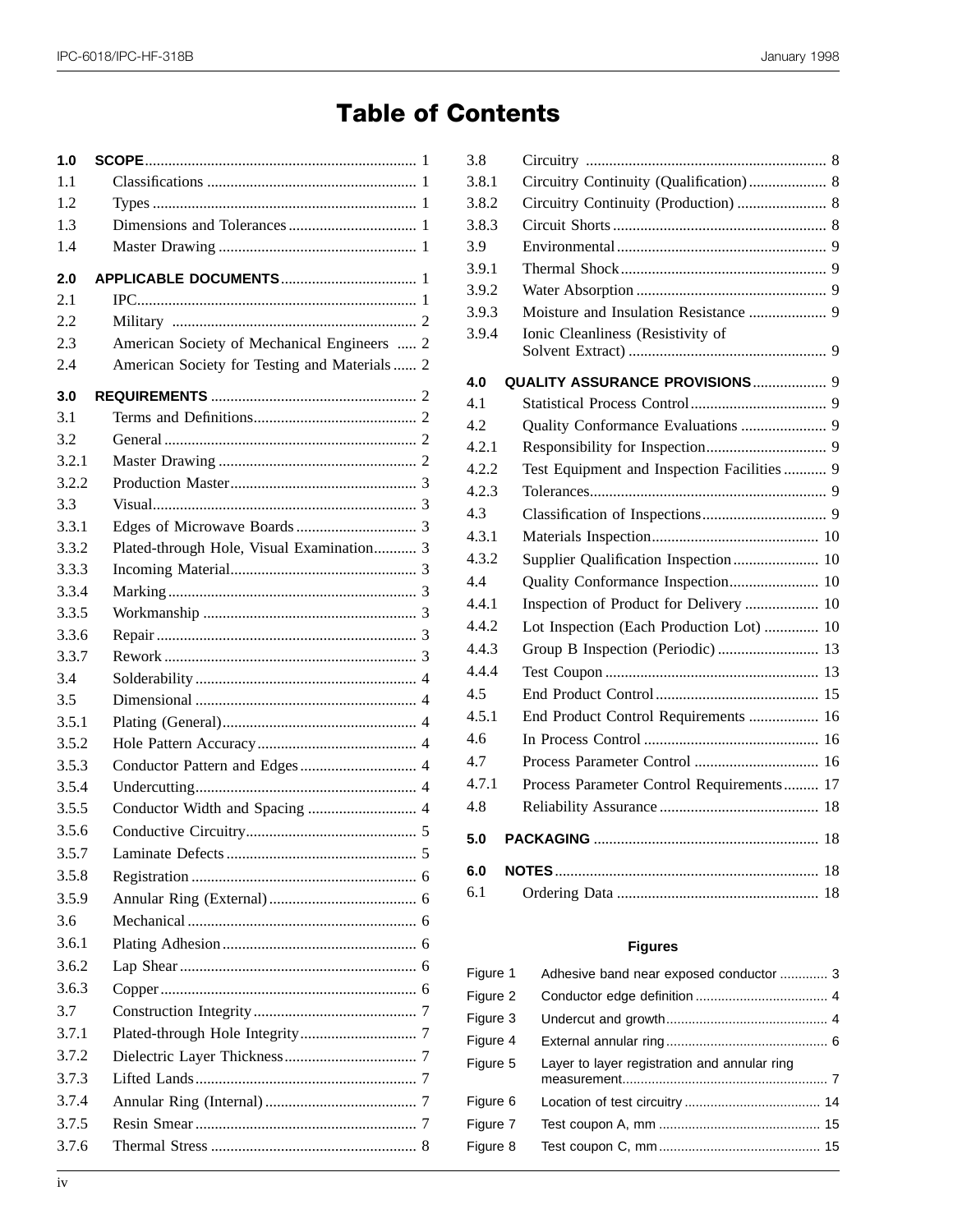## **Table of Contents**

| 1.0   |                                               |  |
|-------|-----------------------------------------------|--|
| 1.1   |                                               |  |
| 1.2   |                                               |  |
| 1.3   |                                               |  |
| 1.4   |                                               |  |
| 2.0   |                                               |  |
| 2.1   |                                               |  |
| 2.2   |                                               |  |
| 2.3   | American Society of Mechanical Engineers  2   |  |
| 2.4   | American Society for Testing and Materials  2 |  |
| 3.0   |                                               |  |
| 3.1   |                                               |  |
| 3.2   |                                               |  |
| 3.2.1 |                                               |  |
| 3.2.2 |                                               |  |
| 3.3   |                                               |  |
| 3.3.1 |                                               |  |
| 3.3.2 | Plated-through Hole, Visual Examination 3     |  |
| 3.3.3 |                                               |  |
| 3.3.4 |                                               |  |
| 3.3.5 |                                               |  |
| 3.3.6 |                                               |  |
| 3.3.7 |                                               |  |
| 3.4   |                                               |  |
| 3.5   |                                               |  |
| 3.5.1 |                                               |  |
| 3.5.2 |                                               |  |
| 3.5.3 |                                               |  |
| 3.5.4 |                                               |  |
| 3.5.5 |                                               |  |
| 3.5.6 |                                               |  |
| 3.5.7 |                                               |  |
| 3.5.8 |                                               |  |
| 3.5.9 |                                               |  |
| 3.6   |                                               |  |
| 3.6.1 |                                               |  |
| 3.6.2 |                                               |  |
| 3.6.3 |                                               |  |
| 3.7   |                                               |  |
| 3.7.1 |                                               |  |
| 3.7.2 |                                               |  |
| 3.7.3 |                                               |  |
| 3.7.4 |                                               |  |
| 3.7.5 |                                               |  |
| 3.7.6 |                                               |  |
|       |                                               |  |

| 3.8   |                                             |
|-------|---------------------------------------------|
| 3.8.1 | Circuitry Continuity (Qualification) 8      |
| 3.8.2 | Circuitry Continuity (Production)  8        |
| 3.8.3 |                                             |
| 3.9   |                                             |
| 3.9.1 |                                             |
| 3.9.2 |                                             |
| 3.9.3 |                                             |
| 3.9.4 | Ionic Cleanliness (Resistivity of           |
|       |                                             |
| 4.0   | QUALITY ASSURANCE PROVISIONS 9              |
| 4.1   |                                             |
| 4.2   |                                             |
| 4.2.1 |                                             |
| 4.2.2 | Test Equipment and Inspection Facilities  9 |
| 4.2.3 |                                             |
| 4.3   |                                             |
| 4.3.1 |                                             |
| 4.3.2 | Supplier Qualification Inspection 10        |
| 4.4   |                                             |
| 4.4.1 | Inspection of Product for Delivery  10      |
| 4.4.2 | Lot Inspection (Each Production Lot)  10    |
| 4.4.3 | Group B Inspection (Periodic)  13           |
| 4.4.4 |                                             |
| 4.5   |                                             |
| 4.5.1 | End Product Control Requirements  16        |
| 4.6   |                                             |
| 4.7   |                                             |
| 4.7.1 | Process Parameter Control Requirements 17   |
| 4.8   |                                             |
| 5.0   |                                             |
| 6.0   |                                             |
| 6.1   |                                             |
|       |                                             |

#### **Figures**

| Figure 1 | Adhesive band near exposed conductor  3      |
|----------|----------------------------------------------|
| Figure 2 |                                              |
| Figure 3 |                                              |
| Figure 4 |                                              |
| Figure 5 | Layer to layer registration and annular ring |
| Figure 6 |                                              |
| Figure 7 |                                              |
| Figure 8 |                                              |
|          |                                              |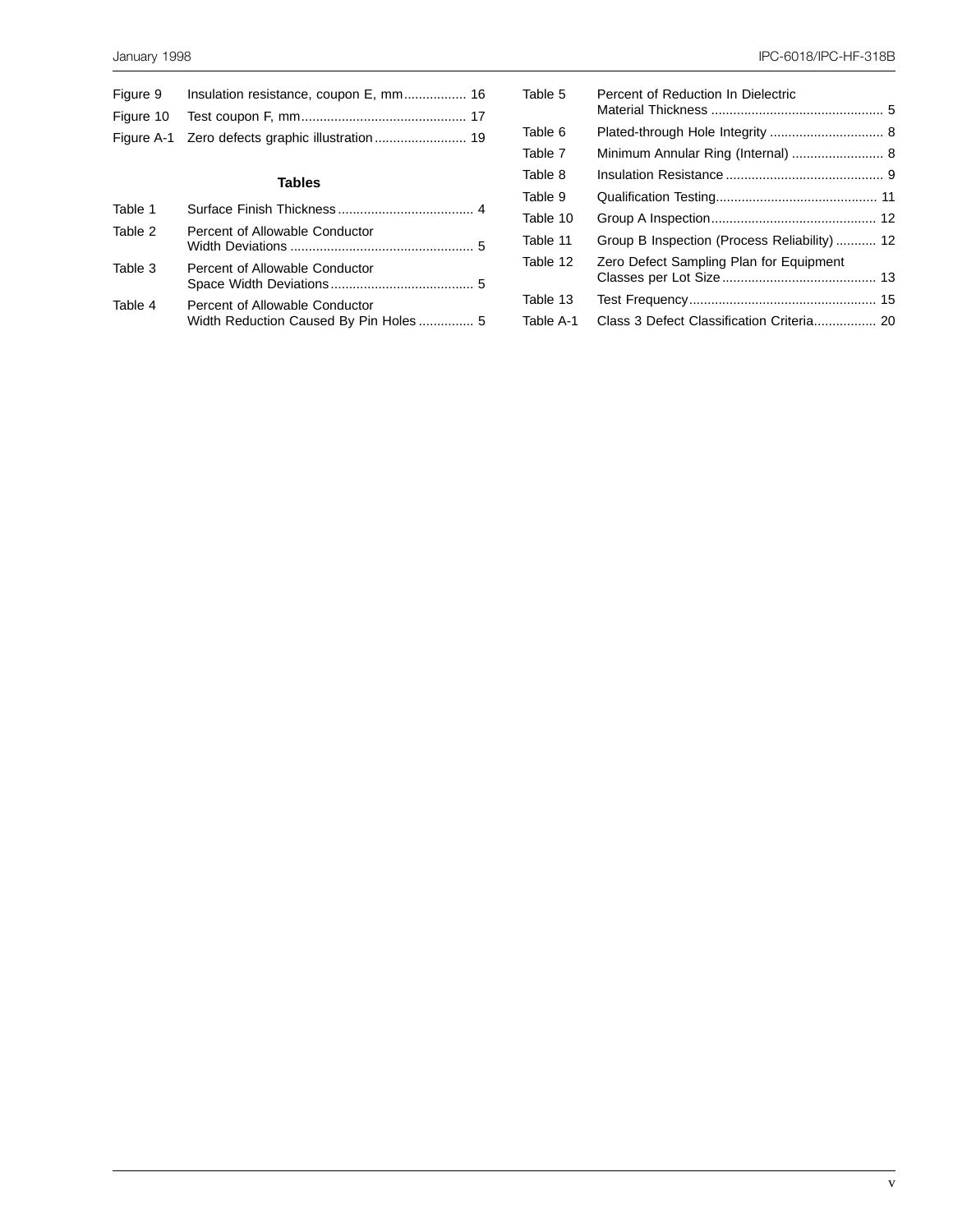| <b>Tables</b> |                                  |  |  |  |
|---------------|----------------------------------|--|--|--|
|               | Tahle 1 Surface Finish Thickness |  |  |  |

| Table 5   | Percent of Reduction In Dielectric           |  |
|-----------|----------------------------------------------|--|
| Table 6   |                                              |  |
| Table 7   |                                              |  |
| Table 8   |                                              |  |
| Table 9   |                                              |  |
| Table 10  |                                              |  |
| Table 11  | Group B Inspection (Process Reliability)  12 |  |
| Table 12  | Zero Defect Sampling Plan for Equipment      |  |
|           |                                              |  |
| Table 13  |                                              |  |
| Table A-1 | Class 3 Defect Classification Criteria 20    |  |

| Table 1 |                                                                         |  |
|---------|-------------------------------------------------------------------------|--|
| Table 2 | Percent of Allowable Conductor                                          |  |
| Table 3 | Percent of Allowable Conductor                                          |  |
| Table 4 | Percent of Allowable Conductor<br>Width Reduction Caused By Pin Holes 5 |  |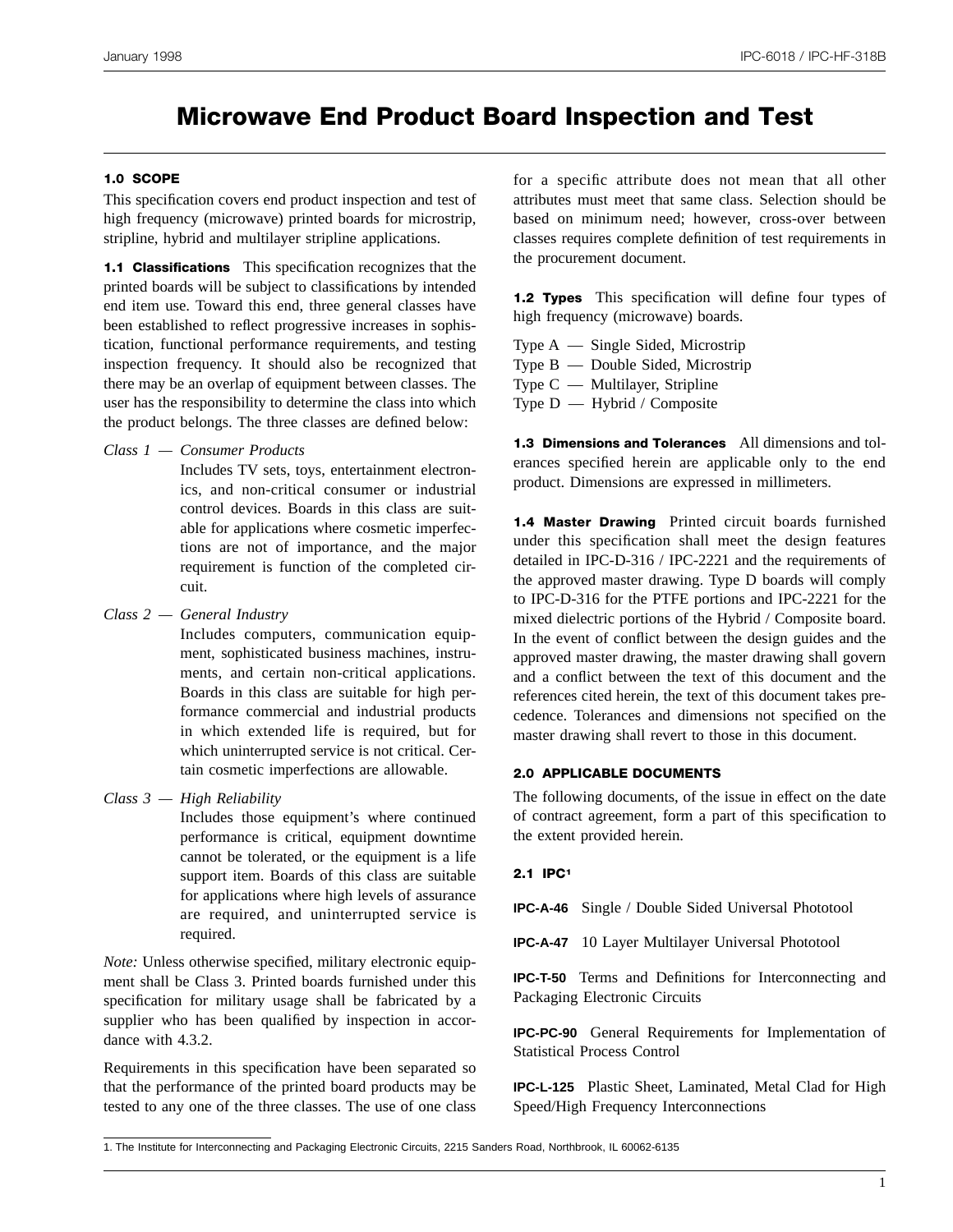### **Microwave End Product Board Inspection and Test**

#### **1.0 SCOPE**

This specification covers end product inspection and test of high frequency (microwave) printed boards for microstrip, stripline, hybrid and multilayer stripline applications.

**1.1 Classifications** This specification recognizes that the printed boards will be subject to classifications by intended end item use. Toward this end, three general classes have been established to reflect progressive increases in sophistication, functional performance requirements, and testing inspection frequency. It should also be recognized that there may be an overlap of equipment between classes. The user has the responsibility to determine the class into which the product belongs. The three classes are defined below:

*Class 1 — Consumer Products*

Includes TV sets, toys, entertainment electronics, and non-critical consumer or industrial control devices. Boards in this class are suitable for applications where cosmetic imperfections are not of importance, and the major requirement is function of the completed circuit.

*Class 2 — General Industry*

Includes computers, communication equipment, sophisticated business machines, instruments, and certain non-critical applications. Boards in this class are suitable for high performance commercial and industrial products in which extended life is required, but for which uninterrupted service is not critical. Certain cosmetic imperfections are allowable.

*Class 3 — High Reliability*

Includes those equipment's where continued performance is critical, equipment downtime cannot be tolerated, or the equipment is a life support item. Boards of this class are suitable for applications where high levels of assurance are required, and uninterrupted service is required.

*Note:* Unless otherwise specified, military electronic equipment shall be Class 3. Printed boards furnished under this specification for military usage shall be fabricated by a supplier who has been qualified by inspection in accordance with 4.3.2.

Requirements in this specification have been separated so that the performance of the printed board products may be tested to any one of the three classes. The use of one class

for a specific attribute does not mean that all other attributes must meet that same class. Selection should be based on minimum need; however, cross-over between classes requires complete definition of test requirements in the procurement document.

**1.2 Types** This specification will define four types of high frequency (microwave) boards.

Type A — Single Sided, Microstrip Type B — Double Sided, Microstrip Type C — Multilayer, Stripline Type  $D - H$ ybrid / Composite

**1.3 Dimensions and Tolerances** All dimensions and tolerances specified herein are applicable only to the end product. Dimensions are expressed in millimeters.

**1.4 Master Drawing** Printed circuit boards furnished under this specification shall meet the design features detailed in IPC-D-316 / IPC-2221 and the requirements of the approved master drawing. Type D boards will comply to IPC-D-316 for the PTFE portions and IPC-2221 for the mixed dielectric portions of the Hybrid / Composite board. In the event of conflict between the design guides and the approved master drawing, the master drawing shall govern and a conflict between the text of this document and the references cited herein, the text of this document takes precedence. Tolerances and dimensions not specified on the master drawing shall revert to those in this document.

#### **2.0 APPLICABLE DOCUMENTS**

The following documents, of the issue in effect on the date of contract agreement, form a part of this specification to the extent provided herein.

#### **2.1 IPC1**

**IPC-A-46** Single / Double Sided Universal Phototool

**IPC-A-47** 10 Layer Multilayer Universal Phototool

**IPC-T-50** Terms and Definitions for Interconnecting and Packaging Electronic Circuits

**IPC-PC-90** General Requirements for Implementation of Statistical Process Control

**IPC-L-125** Plastic Sheet, Laminated, Metal Clad for High Speed/High Frequency Interconnections

<sup>1.</sup> The Institute for Interconnecting and Packaging Electronic Circuits, 2215 Sanders Road, Northbrook, IL 60062-6135